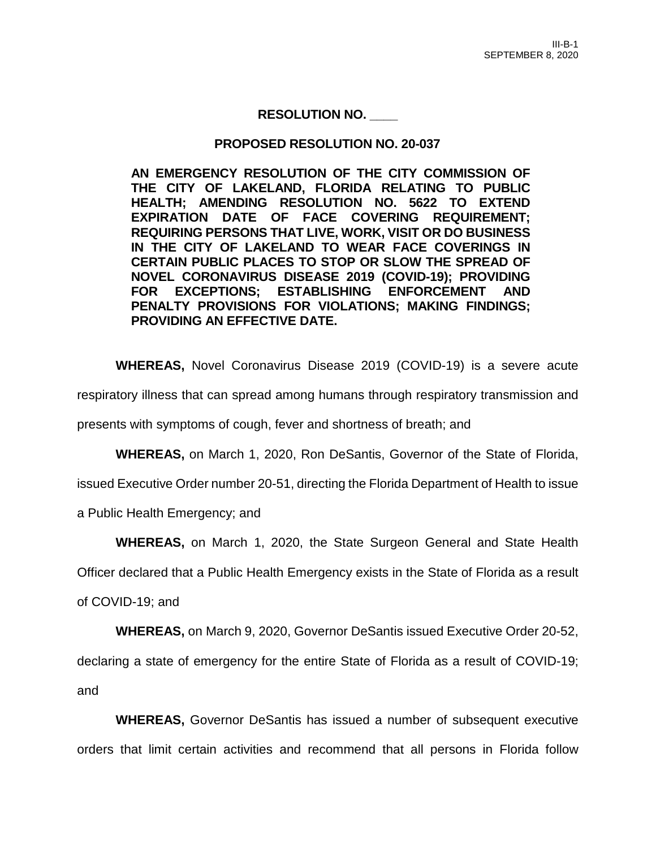# **RESOLUTION NO. \_\_\_\_**

## **PROPOSED RESOLUTION NO. 20-037**

**AN EMERGENCY RESOLUTION OF THE CITY COMMISSION OF THE CITY OF LAKELAND, FLORIDA RELATING TO PUBLIC HEALTH; AMENDING RESOLUTION NO. 5622 TO EXTEND EXPIRATION DATE OF FACE COVERING REQUIREMENT; REQUIRING PERSONS THAT LIVE, WORK, VISIT OR DO BUSINESS IN THE CITY OF LAKELAND TO WEAR FACE COVERINGS IN CERTAIN PUBLIC PLACES TO STOP OR SLOW THE SPREAD OF NOVEL CORONAVIRUS DISEASE 2019 (COVID-19); PROVIDING FOR EXCEPTIONS; ESTABLISHING ENFORCEMENT AND PENALTY PROVISIONS FOR VIOLATIONS; MAKING FINDINGS; PROVIDING AN EFFECTIVE DATE.**

**WHEREAS,** Novel Coronavirus Disease 2019 (COVID-19) is a severe acute

respiratory illness that can spread among humans through respiratory transmission and

presents with symptoms of cough, fever and shortness of breath; and

**WHEREAS,** on March 1, 2020, Ron DeSantis, Governor of the State of Florida,

issued Executive Order number 20-51, directing the Florida Department of Health to issue

a Public Health Emergency; and

**WHEREAS,** on March 1, 2020, the State Surgeon General and State Health

Officer declared that a Public Health Emergency exists in the State of Florida as a result

of COVID-19; and

**WHEREAS,** on March 9, 2020, Governor DeSantis issued Executive Order 20-52,

declaring a state of emergency for the entire State of Florida as a result of COVID-19; and

**WHEREAS,** Governor DeSantis has issued a number of subsequent executive orders that limit certain activities and recommend that all persons in Florida follow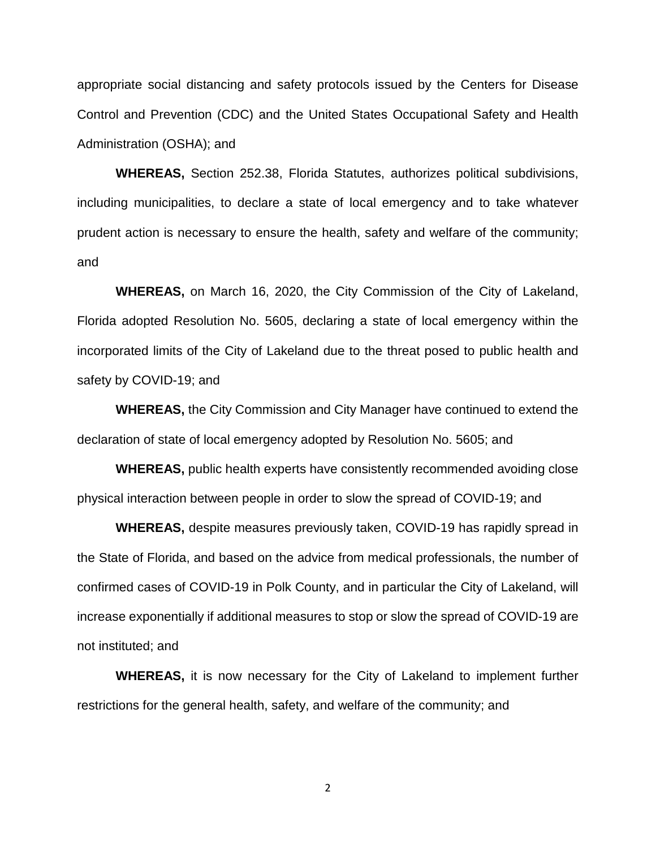appropriate social distancing and safety protocols issued by the Centers for Disease Control and Prevention (CDC) and the United States Occupational Safety and Health Administration (OSHA); and

**WHEREAS,** Section 252.38, Florida Statutes, authorizes political subdivisions, including municipalities, to declare a state of local emergency and to take whatever prudent action is necessary to ensure the health, safety and welfare of the community; and

**WHEREAS,** on March 16, 2020, the City Commission of the City of Lakeland, Florida adopted Resolution No. 5605, declaring a state of local emergency within the incorporated limits of the City of Lakeland due to the threat posed to public health and safety by COVID-19; and

**WHEREAS,** the City Commission and City Manager have continued to extend the declaration of state of local emergency adopted by Resolution No. 5605; and

**WHEREAS,** public health experts have consistently recommended avoiding close physical interaction between people in order to slow the spread of COVID-19; and

**WHEREAS,** despite measures previously taken, COVID-19 has rapidly spread in the State of Florida, and based on the advice from medical professionals, the number of confirmed cases of COVID-19 in Polk County, and in particular the City of Lakeland, will increase exponentially if additional measures to stop or slow the spread of COVID-19 are not instituted; and

**WHEREAS,** it is now necessary for the City of Lakeland to implement further restrictions for the general health, safety, and welfare of the community; and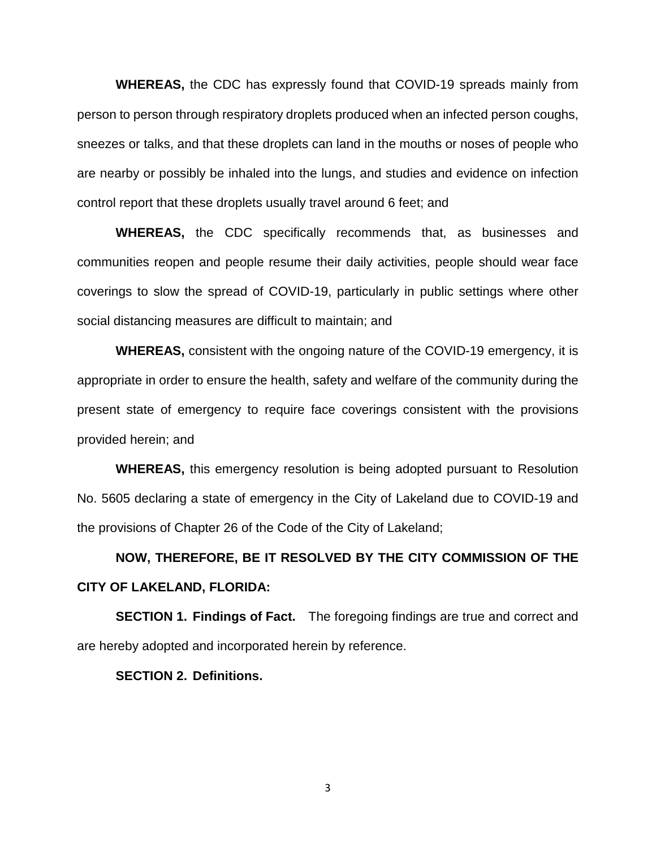**WHEREAS,** the CDC has expressly found that COVID-19 spreads mainly from person to person through respiratory droplets produced when an infected person coughs, sneezes or talks, and that these droplets can land in the mouths or noses of people who are nearby or possibly be inhaled into the lungs, and studies and evidence on infection control report that these droplets usually travel around 6 feet; and

**WHEREAS,** the CDC specifically recommends that, as businesses and communities reopen and people resume their daily activities, people should wear face coverings to slow the spread of COVID-19, particularly in public settings where other social distancing measures are difficult to maintain; and

**WHEREAS,** consistent with the ongoing nature of the COVID-19 emergency, it is appropriate in order to ensure the health, safety and welfare of the community during the present state of emergency to require face coverings consistent with the provisions provided herein; and

**WHEREAS,** this emergency resolution is being adopted pursuant to Resolution No. 5605 declaring a state of emergency in the City of Lakeland due to COVID-19 and the provisions of Chapter 26 of the Code of the City of Lakeland;

# **NOW, THEREFORE, BE IT RESOLVED BY THE CITY COMMISSION OF THE CITY OF LAKELAND, FLORIDA:**

**SECTION 1. Findings of Fact.** The foregoing findings are true and correct and are hereby adopted and incorporated herein by reference.

#### **SECTION 2. Definitions.**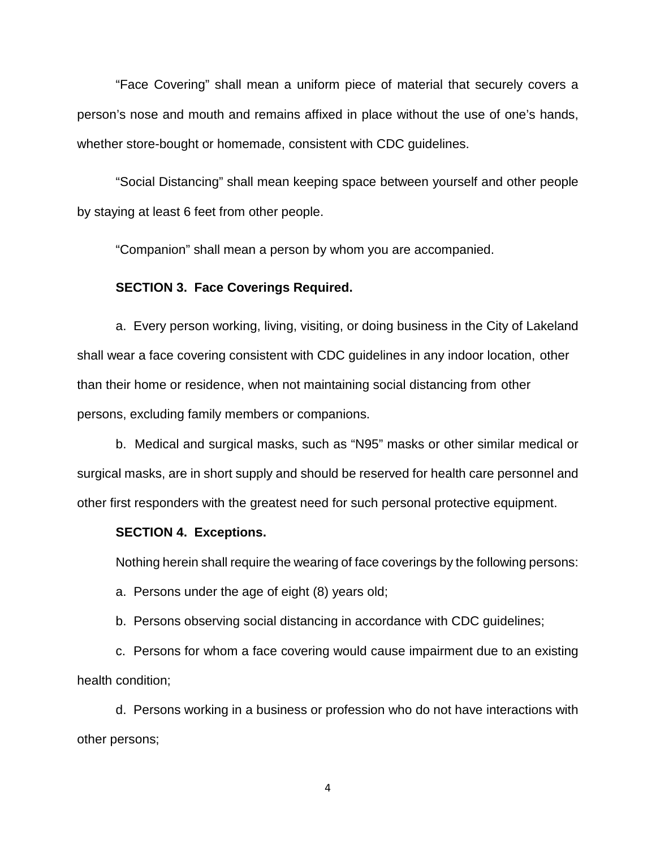"Face Covering" shall mean a uniform piece of material that securely covers a person's nose and mouth and remains affixed in place without the use of one's hands, whether store-bought or homemade, consistent with CDC guidelines.

"Social Distancing" shall mean keeping space between yourself and other people by staying at least 6 feet from other people.

"Companion" shall mean a person by whom you are accompanied.

#### **SECTION 3. Face Coverings Required.**

a. Every person working, living, visiting, or doing business in the City of Lakeland shall wear a face covering consistent with CDC guidelines in any indoor location, other than their home or residence, when not maintaining social distancing from other persons, excluding family members or companions.

b. Medical and surgical masks, such as "N95" masks or other similar medical or surgical masks, are in short supply and should be reserved for health care personnel and other first responders with the greatest need for such personal protective equipment.

## **SECTION 4. Exceptions.**

Nothing herein shall require the wearing of face coverings by the following persons:

a. Persons under the age of eight (8) years old;

b. Persons observing social distancing in accordance with CDC guidelines;

c. Persons for whom a face covering would cause impairment due to an existing health condition;

d. Persons working in a business or profession who do not have interactions with other persons;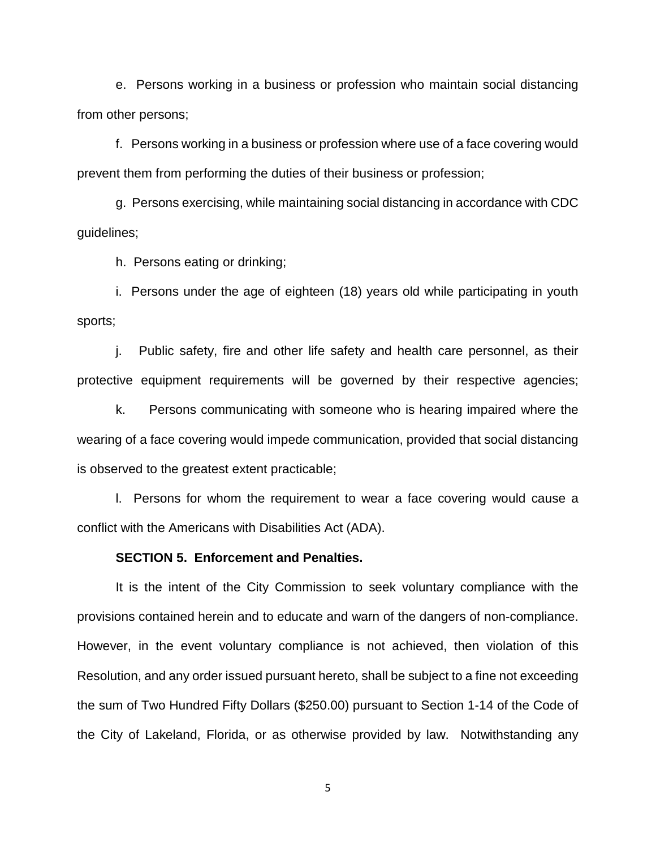e. Persons working in a business or profession who maintain social distancing from other persons;

f. Persons working in a business or profession where use of a face covering would prevent them from performing the duties of their business or profession;

g. Persons exercising, while maintaining social distancing in accordance with CDC guidelines;

h. Persons eating or drinking;

i. Persons under the age of eighteen (18) years old while participating in youth sports;

j. Public safety, fire and other life safety and health care personnel, as their protective equipment requirements will be governed by their respective agencies;

k. Persons communicating with someone who is hearing impaired where the wearing of a face covering would impede communication, provided that social distancing is observed to the greatest extent practicable;

l. Persons for whom the requirement to wear a face covering would cause a conflict with the Americans with Disabilities Act (ADA).

#### **SECTION 5. Enforcement and Penalties.**

It is the intent of the City Commission to seek voluntary compliance with the provisions contained herein and to educate and warn of the dangers of non-compliance. However, in the event voluntary compliance is not achieved, then violation of this Resolution, and any order issued pursuant hereto, shall be subject to a fine not exceeding the sum of Two Hundred Fifty Dollars (\$250.00) pursuant to Section 1-14 of the Code of the City of Lakeland, Florida, or as otherwise provided by law. Notwithstanding any